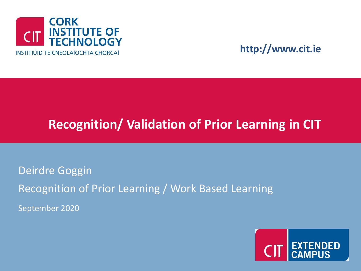

### **http://www.cit.ie**

### **Recognition/ Validation of Prior Learning in CIT**

Deirdre Goggin Recognition of Prior Learning / Work Based Learning September 2020

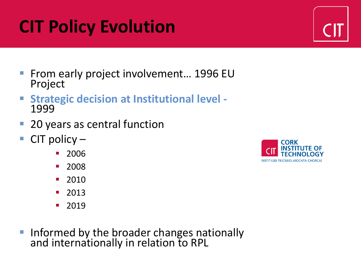# **CIT Policy Evolution**

- From early project involvement... 1996 EU Project
- **Strategic decision at Institutional level -** 1999
- 20 years as central function
- **CIT policy** 
	- 2006
	- 2008
	- 2010
	- 2013
	- 2019
- **Informed by the broader changes nationally** and internationally in relation to RPL



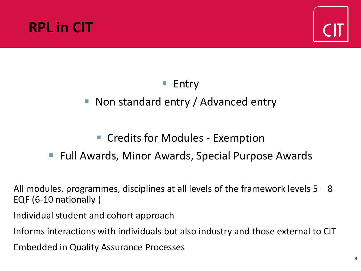



### **Entry**

### ■ Non standard entry / Advanced entry

### ■ Credits for Modules - Exemption

### ■ Full Awards, Minor Awards, Special Purpose Awards

All modules, programmes, disciplines at all levels of the framework levels 5 – 8 EQF (6-10 nationally )

Individual student and cohort approach

Informs interactions with individuals but also industry and those external to CIT

Embedded in Quality Assurance Processes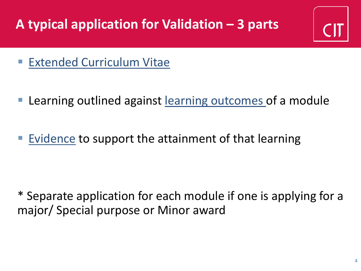# **A typical application for Validation – 3 parts**

- **Extended Curriculum Vitae**
- Learning outlined against learning outcomes of a module
- Evidence to support the attainment of that learning

\* Separate application for each module if one is applying for a major/ Special purpose or Minor award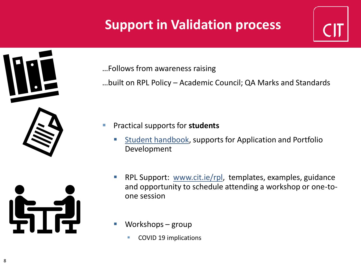## **Support in Validation process**



…Follows from awareness raising

…built on RPL Policy – Academic Council; QA Marks and Standards

- Practical supports for **students** 
	- [Student handbook](https://www.cit.ie/contentfiles/RPL%20material/CIT%20RPL%20Guidelines%20for%20Students%20sw.pdf), supports for Application and Portfolio Development
	- RPL Support: [www.cit.ie/rpl](http://www.cit.ie/rpl), templates, examples, guidance and opportunity to schedule attending a workshop or one-toone session
	- Workshops  $group$ 
		- COVID 19 implications

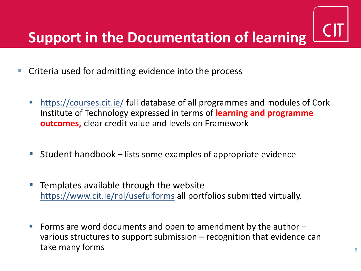- Criteria used for admitting evidence into the process
	- <https://courses.cit.ie/> full database of all programmes and modules of Cork Institute of Technology expressed in terms of **learning and programme outcomes,** clear credit value and levels on Framework
	- $Student$  handbook lists some examples of appropriate evidence
	- Templates available through the website <https://www.cit.ie/rpl/usefulforms> all portfolios submitted virtually.
	- $\blacksquare$  Forms are word documents and open to amendment by the author  $\blacksquare$ various structures to support submission – recognition that evidence can take many forms **9**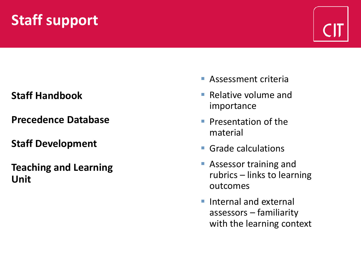# **Staff support**



### **Staff Handbook**

**Precedence Database**

#### **Staff Development**

**Teaching and Learning Unit**

- Assessment criteria
- $\blacksquare$  Relative volume and importance
- **Presentation of the** material
- Grade calculations
- Assessor training and rubrics – links to learning outcomes
- Internal and external assessors – familiarity with the learning context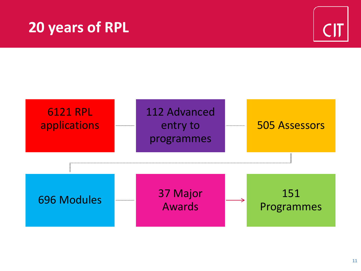## **20 years of RPL**